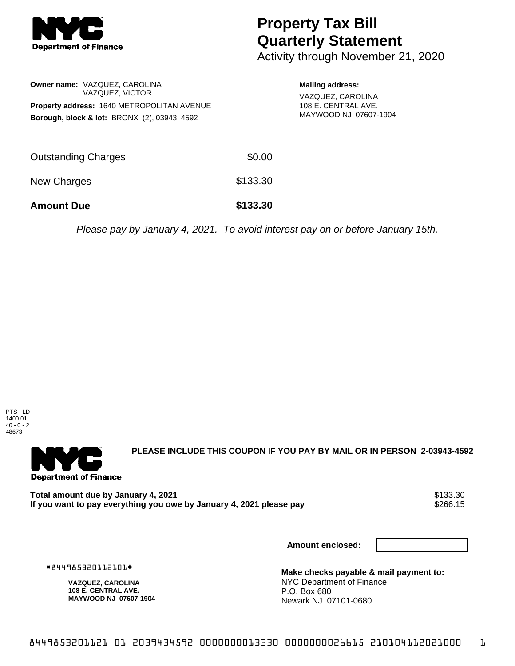

## **Property Tax Bill Quarterly Statement**

**Mailing address:** VAZQUEZ, CAROLINA 108 E. CENTRAL AVE. MAYWOOD NJ 07607-1904

Activity through November 21, 2020

| <b>Owner name: VAZQUEZ, CAROLINA</b><br>VAZQUEZ, VICTOR |        |
|---------------------------------------------------------|--------|
| Property address: 1640 METROPOLITAN AVENUE              |        |
| <b>Borough, block &amp; lot: BRONX (2), 03943, 4592</b> |        |
|                                                         |        |
|                                                         |        |
| <b>Outstanding Charges</b>                              | \$0.00 |

New Charges \$133.30

**Amount Due \$133.30**

Please pay by January 4, 2021. To avoid interest pay on or before January 15th.





**PLEASE INCLUDE THIS COUPON IF YOU PAY BY MAIL OR IN PERSON 2-03943-4592** 

Total amount due by January 4, 2021<br>If you want to pay everything you owe by January 4, 2021 please pay **show that the set of the set of the s**266.15 If you want to pay everything you owe by January 4, 2021 please pay

**Amount enclosed:**

#844985320112101#

**VAZQUEZ, CAROLINA 108 E. CENTRAL AVE. MAYWOOD NJ 07607-1904**

**Make checks payable & mail payment to:** NYC Department of Finance P.O. Box 680 Newark NJ 07101-0680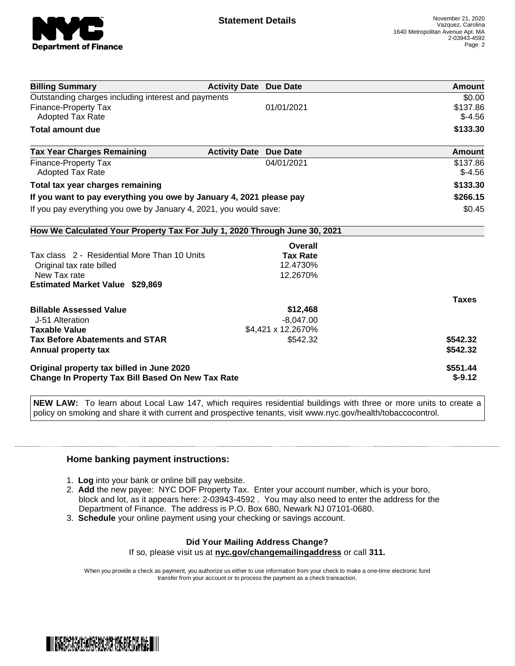

| <b>Billing Summary</b>                                                     | <b>Activity Date Due Date</b> |                    | <b>Amount</b> |
|----------------------------------------------------------------------------|-------------------------------|--------------------|---------------|
| Outstanding charges including interest and payments                        |                               |                    | \$0.00        |
| <b>Finance-Property Tax</b>                                                |                               | 01/01/2021         | \$137.86      |
| <b>Adopted Tax Rate</b>                                                    |                               |                    | $$-4.56$      |
| <b>Total amount due</b>                                                    |                               |                    | \$133.30      |
| <b>Tax Year Charges Remaining</b>                                          | <b>Activity Date Due Date</b> |                    | Amount        |
| <b>Finance-Property Tax</b>                                                |                               | 04/01/2021         | \$137.86      |
| <b>Adopted Tax Rate</b>                                                    |                               |                    | $$-4.56$      |
| Total tax year charges remaining                                           |                               |                    | \$133.30      |
| If you want to pay everything you owe by January 4, 2021 please pay        |                               |                    | \$266.15      |
| If you pay everything you owe by January 4, 2021, you would save:          |                               |                    | \$0.45        |
| How We Calculated Your Property Tax For July 1, 2020 Through June 30, 2021 |                               |                    |               |
|                                                                            |                               | Overall            |               |
| Tax class 2 - Residential More Than 10 Units                               |                               | <b>Tax Rate</b>    |               |
| Original tax rate billed                                                   |                               | 12.4730%           |               |
| New Tax rate                                                               |                               | 12.2670%           |               |
| <b>Estimated Market Value \$29,869</b>                                     |                               |                    |               |
|                                                                            |                               |                    | <b>Taxes</b>  |
| <b>Billable Assessed Value</b>                                             |                               | \$12,468           |               |
| J-51 Alteration                                                            |                               | $-8,047.00$        |               |
| <b>Taxable Value</b>                                                       |                               | \$4,421 x 12.2670% |               |
| <b>Tax Before Abatements and STAR</b>                                      |                               | \$542.32           | \$542.32      |
| Annual property tax                                                        |                               |                    | \$542.32      |
| Original property tax billed in June 2020                                  |                               |                    | \$551.44      |
| <b>Change In Property Tax Bill Based On New Tax Rate</b>                   |                               |                    | $$-9.12$      |

**NEW LAW:** To learn about Local Law 147, which requires residential buildings with three or more units to create a policy on smoking and share it with current and prospective tenants, visit www.nyc.gov/health/tobaccocontrol.

## **Home banking payment instructions:**

- 1. **Log** into your bank or online bill pay website.
- 2. **Add** the new payee: NYC DOF Property Tax. Enter your account number, which is your boro, block and lot, as it appears here: 2-03943-4592 . You may also need to enter the address for the Department of Finance. The address is P.O. Box 680, Newark NJ 07101-0680.
- 3. **Schedule** your online payment using your checking or savings account.

## **Did Your Mailing Address Change?**

If so, please visit us at **nyc.gov/changemailingaddress** or call **311.**

When you provide a check as payment, you authorize us either to use information from your check to make a one-time electronic fund transfer from your account or to process the payment as a check transaction.